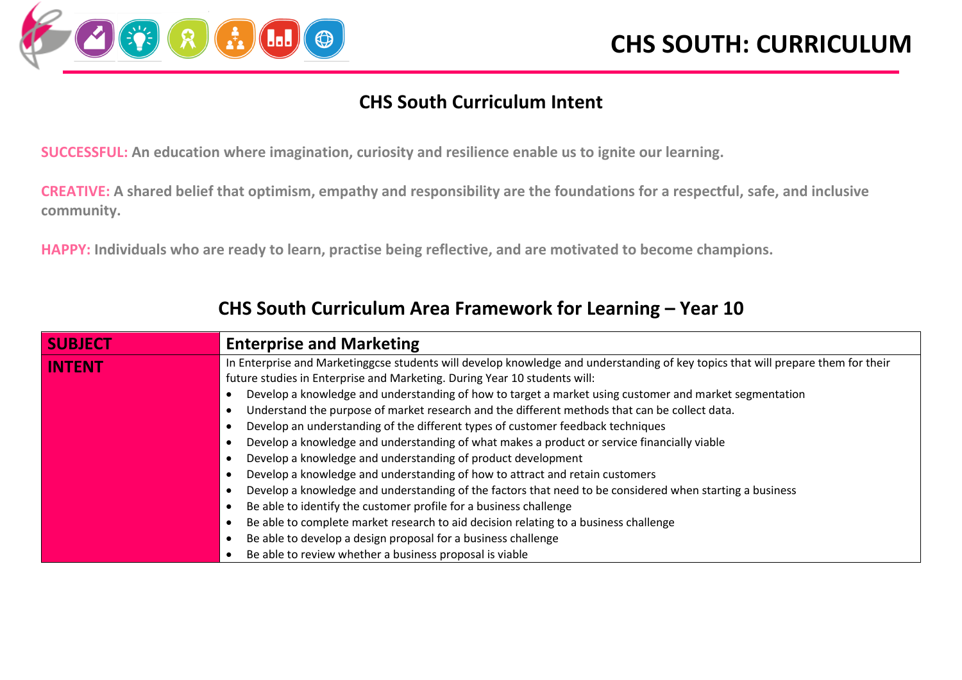

#### **CHS South Curriculum Intent**

**SUCCESSFUL: An education where imagination, curiosity and resilience enable us to ignite our learning.**

**CREATIVE: A shared belief that optimism, empathy and responsibility are the foundations for a respectful, safe, and inclusive community.**

**HAPPY: Individuals who are ready to learn, practise being reflective, and are motivated to become champions.**

| <b>SUBJECT</b> | <b>Enterprise and Marketing</b>                                                                                                  |  |  |  |  |
|----------------|----------------------------------------------------------------------------------------------------------------------------------|--|--|--|--|
| <b>INTENT</b>  | In Enterprise and Marketinggcse students will develop knowledge and understanding of key topics that will prepare them for their |  |  |  |  |
|                | future studies in Enterprise and Marketing. During Year 10 students will:                                                        |  |  |  |  |
|                | Develop a knowledge and understanding of how to target a market using customer and market segmentation                           |  |  |  |  |
|                | Understand the purpose of market research and the different methods that can be collect data.                                    |  |  |  |  |
|                | Develop an understanding of the different types of customer feedback techniques                                                  |  |  |  |  |
|                | Develop a knowledge and understanding of what makes a product or service financially viable                                      |  |  |  |  |
|                | Develop a knowledge and understanding of product development                                                                     |  |  |  |  |
|                | Develop a knowledge and understanding of how to attract and retain customers                                                     |  |  |  |  |
|                | Develop a knowledge and understanding of the factors that need to be considered when starting a business                         |  |  |  |  |
|                | Be able to identify the customer profile for a business challenge                                                                |  |  |  |  |
|                | Be able to complete market research to aid decision relating to a business challenge                                             |  |  |  |  |
|                | Be able to develop a design proposal for a business challenge                                                                    |  |  |  |  |
|                | Be able to review whether a business proposal is viable                                                                          |  |  |  |  |

#### **CHS South Curriculum Area Framework for Learning – Year 10**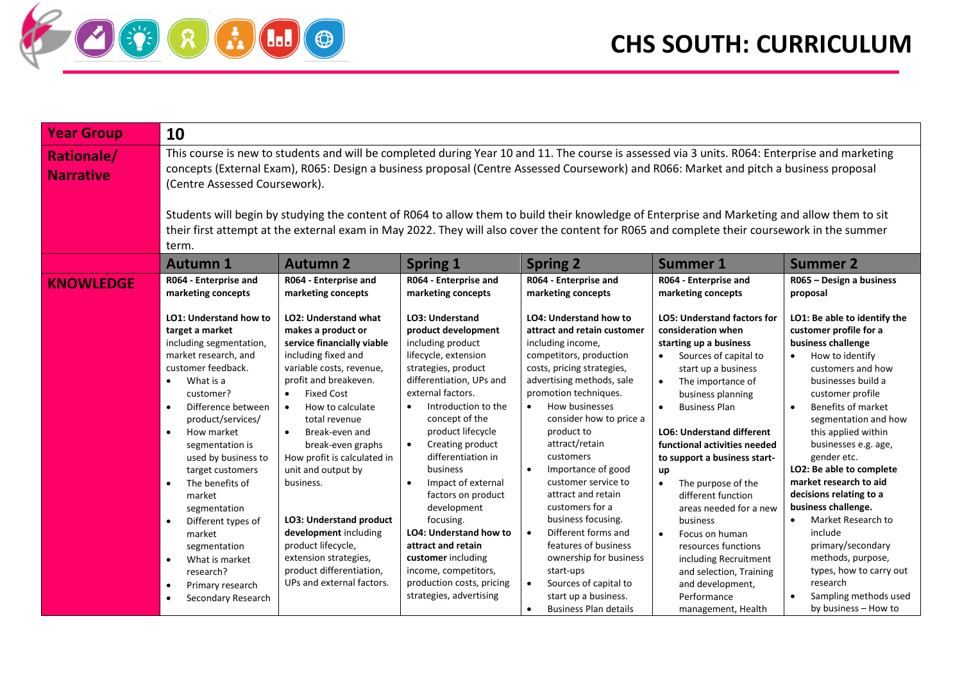

| <b>Year Group</b>                     | 10                                                                                                                                                                                                                                                                                                                                                                                                                                                                                                                                                                                                                                |                                                                                                                                                                                                                                                                                                                                                                                                                                                                                                                      |                                                                                                                                                                                                                                                                                                                                                                                                                                                                                                                                                 |                                                                                                                                                                                                                                                                                                                                                                                                                                                                                                                                                                                                                                   |                                                                                                                                                                                                                                                                                                                                                                                                                                                                                                                                                                                                            |                                                                                                                                                                                                                                                                                                                                                                                                                                                                                                                                                                    |  |
|---------------------------------------|-----------------------------------------------------------------------------------------------------------------------------------------------------------------------------------------------------------------------------------------------------------------------------------------------------------------------------------------------------------------------------------------------------------------------------------------------------------------------------------------------------------------------------------------------------------------------------------------------------------------------------------|----------------------------------------------------------------------------------------------------------------------------------------------------------------------------------------------------------------------------------------------------------------------------------------------------------------------------------------------------------------------------------------------------------------------------------------------------------------------------------------------------------------------|-------------------------------------------------------------------------------------------------------------------------------------------------------------------------------------------------------------------------------------------------------------------------------------------------------------------------------------------------------------------------------------------------------------------------------------------------------------------------------------------------------------------------------------------------|-----------------------------------------------------------------------------------------------------------------------------------------------------------------------------------------------------------------------------------------------------------------------------------------------------------------------------------------------------------------------------------------------------------------------------------------------------------------------------------------------------------------------------------------------------------------------------------------------------------------------------------|------------------------------------------------------------------------------------------------------------------------------------------------------------------------------------------------------------------------------------------------------------------------------------------------------------------------------------------------------------------------------------------------------------------------------------------------------------------------------------------------------------------------------------------------------------------------------------------------------------|--------------------------------------------------------------------------------------------------------------------------------------------------------------------------------------------------------------------------------------------------------------------------------------------------------------------------------------------------------------------------------------------------------------------------------------------------------------------------------------------------------------------------------------------------------------------|--|
| <b>Rationale/</b><br><b>Narrative</b> | This course is new to students and will be completed during Year 10 and 11. The course is assessed via 3 units. R064: Enterprise and marketing<br>concepts (External Exam), R065: Design a business proposal (Centre Assessed Coursework) and R066: Market and pitch a business proposal<br>(Centre Assessed Coursework).<br>Students will begin by studying the content of R064 to allow them to build their knowledge of Enterprise and Marketing and allow them to sit<br>their first attempt at the external exam in May 2022. They will also cover the content for R065 and complete their coursework in the summer<br>term. |                                                                                                                                                                                                                                                                                                                                                                                                                                                                                                                      |                                                                                                                                                                                                                                                                                                                                                                                                                                                                                                                                                 |                                                                                                                                                                                                                                                                                                                                                                                                                                                                                                                                                                                                                                   |                                                                                                                                                                                                                                                                                                                                                                                                                                                                                                                                                                                                            |                                                                                                                                                                                                                                                                                                                                                                                                                                                                                                                                                                    |  |
|                                       | <b>Autumn 1</b>                                                                                                                                                                                                                                                                                                                                                                                                                                                                                                                                                                                                                   | <b>Autumn 2</b>                                                                                                                                                                                                                                                                                                                                                                                                                                                                                                      | <b>Spring 1</b>                                                                                                                                                                                                                                                                                                                                                                                                                                                                                                                                 | <b>Spring 2</b>                                                                                                                                                                                                                                                                                                                                                                                                                                                                                                                                                                                                                   | <b>Summer 1</b>                                                                                                                                                                                                                                                                                                                                                                                                                                                                                                                                                                                            | <b>Summer 2</b>                                                                                                                                                                                                                                                                                                                                                                                                                                                                                                                                                    |  |
| <b>KNOWLEDGE</b>                      | R064 - Enterprise and<br>marketing concepts                                                                                                                                                                                                                                                                                                                                                                                                                                                                                                                                                                                       | R064 - Enterprise and<br>marketing concepts                                                                                                                                                                                                                                                                                                                                                                                                                                                                          | R064 - Enterprise and<br>marketing concepts                                                                                                                                                                                                                                                                                                                                                                                                                                                                                                     | R064 - Enterprise and<br>marketing concepts                                                                                                                                                                                                                                                                                                                                                                                                                                                                                                                                                                                       | R064 - Enterprise and<br>marketing concepts                                                                                                                                                                                                                                                                                                                                                                                                                                                                                                                                                                | R065 - Design a business<br>proposal                                                                                                                                                                                                                                                                                                                                                                                                                                                                                                                               |  |
|                                       | <b>LO1: Understand how to</b><br>target a market<br>including segmentation,<br>market research, and<br>customer feedback.<br>What is a<br>customer?<br>Difference between<br>$\bullet$<br>product/services/<br>How market<br>$\bullet$<br>segmentation is<br>used by business to<br>target customers<br>The benefits of<br>$\bullet$<br>market<br>segmentation<br>Different types of<br>$\bullet$<br>market<br>segmentation<br>What is market<br>$\bullet$<br>research?<br>Primary research<br>$\bullet$<br>Secondary Research<br>$\bullet$                                                                                       | <b>LO2: Understand what</b><br>makes a product or<br>service financially viable<br>including fixed and<br>variable costs, revenue,<br>profit and breakeven.<br><b>Fixed Cost</b><br>How to calculate<br>$\bullet$<br>total revenue<br>Break-even and<br>$\bullet$<br>break-even graphs<br>How profit is calculated in<br>unit and output by<br>business.<br>LO3: Understand product<br>development including<br>product lifecycle,<br>extension strategies,<br>product differentiation,<br>UPs and external factors. | <b>LO3: Understand</b><br>product development<br>including product<br>lifecycle, extension<br>strategies, product<br>differentiation, UPs and<br>external factors.<br>Introduction to the<br>concept of the<br>product lifecycle<br>Creating product<br>$\bullet$<br>differentiation in<br><b>business</b><br>Impact of external<br>factors on product<br>development<br>focusing.<br><b>LO4: Understand how to</b><br>attract and retain<br>customer including<br>income, competitors,<br>production costs, pricing<br>strategies, advertising | <b>LO4: Understand how to</b><br>attract and retain customer<br>including income,<br>competitors, production<br>costs, pricing strategies,<br>advertising methods, sale<br>promotion techniques.<br>How businesses<br>$\bullet$<br>consider how to price a<br>product to<br>attract/retain<br>customers<br>Importance of good<br>customer service to<br>attract and retain<br>customers for a<br>business focusing.<br>Different forms and<br>$\bullet$<br>features of business<br>ownership for business<br>start-ups<br>Sources of capital to<br>$\bullet$<br>start up a business.<br><b>Business Plan details</b><br>$\bullet$ | <b>LO5: Understand factors for</b><br>consideration when<br>starting up a business<br>Sources of capital to<br>start up a business<br>The importance of<br>$\bullet$<br>business planning<br><b>Business Plan</b><br>$\bullet$<br><b>LO6: Understand different</b><br>functional activities needed<br>to support a business start-<br>up<br>The purpose of the<br>$\bullet$<br>different function<br>areas needed for a new<br>business<br>$\bullet$<br>Focus on human<br>resources functions<br>including Recruitment<br>and selection, Training<br>and development,<br>Performance<br>management, Health | LO1: Be able to identify the<br>customer profile for a<br>business challenge<br>How to identify<br>$\bullet$<br>customers and how<br>businesses build a<br>customer profile<br>Benefits of market<br>segmentation and how<br>this applied within<br>businesses e.g. age,<br>gender etc.<br>LO2: Be able to complete<br>market research to aid<br>decisions relating to a<br>business challenge.<br>Market Research to<br>include<br>primary/secondary<br>methods, purpose,<br>types, how to carry out<br>research<br>Sampling methods used<br>by business - How to |  |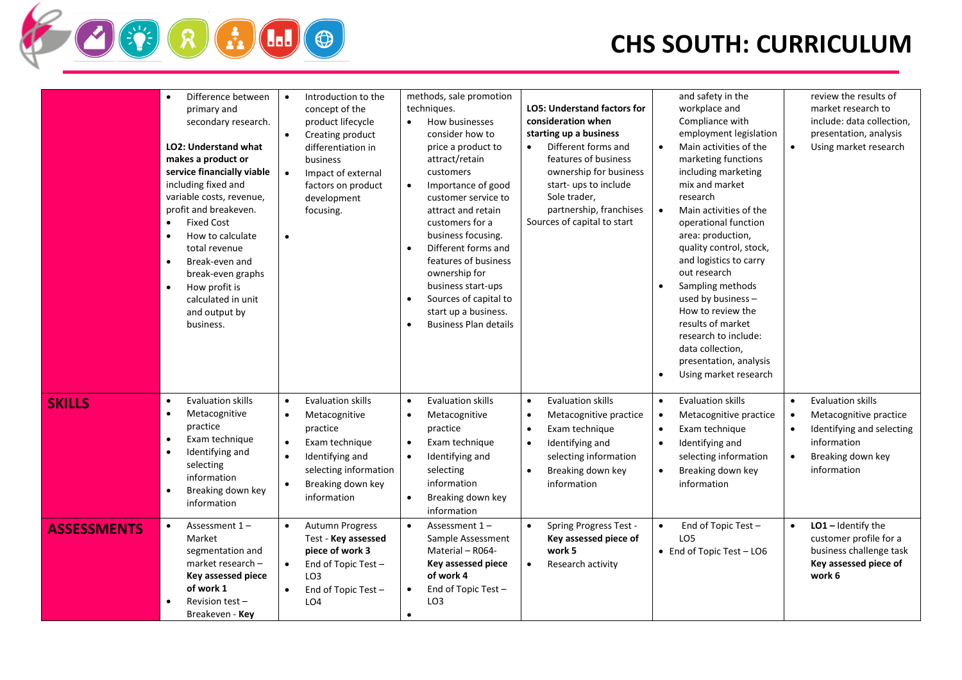## **CHS SOUTH: CURRICULUM**

|                    | Difference between<br>$\bullet$<br>primary and<br>secondary research.<br><b>LO2: Understand what</b><br>makes a product or<br>service financially viable<br>including fixed and<br>variable costs, revenue,<br>profit and breakeven.<br><b>Fixed Cost</b><br>$\bullet$<br>How to calculate<br>$\bullet$<br>total revenue<br>Break-even and<br>$\bullet$<br>break-even graphs<br>How profit is<br>$\bullet$<br>calculated in unit<br>and output by<br>business. | Introduction to the<br>$\bullet$<br>concept of the<br>product lifecycle<br>$\bullet$<br>Creating product<br>differentiation in<br>business<br>$\bullet$<br>Impact of external<br>factors on product<br>development<br>focusing.<br>$\bullet$ | methods, sale promotion<br>techniques.<br>How businesses<br>$\bullet$<br>consider how to<br>price a product to<br>attract/retain<br>customers<br>Importance of good<br>$\bullet$<br>customer service to<br>attract and retain<br>customers for a<br>business focusing.<br>Different forms and<br>$\bullet$<br>features of business<br>ownership for<br>business start-ups<br>Sources of capital to<br>start up a business.<br><b>Business Plan details</b><br>$\bullet$ | <b>LO5: Understand factors for</b><br>consideration when<br>starting up a business<br>Different forms and<br>features of business<br>ownership for business<br>start- ups to include<br>Sole trader,<br>partnership, franchises<br>Sources of capital to start | and safety in the<br>workplace and<br>Compliance with<br>employment legislation<br>Main activities of the<br>marketing functions<br>including marketing<br>mix and market<br>research<br>Main activities of the<br>$\bullet$<br>operational function<br>area: production,<br>quality control, stock,<br>and logistics to carry<br>out research<br>Sampling methods<br>used by business -<br>How to review the<br>results of market<br>research to include:<br>data collection,<br>presentation, analysis<br>Using market research<br>$\bullet$ | review the results of<br>market research to<br>include: data collection,<br>presentation, analysis<br>$\bullet$<br>Using market research                                               |
|--------------------|----------------------------------------------------------------------------------------------------------------------------------------------------------------------------------------------------------------------------------------------------------------------------------------------------------------------------------------------------------------------------------------------------------------------------------------------------------------|----------------------------------------------------------------------------------------------------------------------------------------------------------------------------------------------------------------------------------------------|-------------------------------------------------------------------------------------------------------------------------------------------------------------------------------------------------------------------------------------------------------------------------------------------------------------------------------------------------------------------------------------------------------------------------------------------------------------------------|----------------------------------------------------------------------------------------------------------------------------------------------------------------------------------------------------------------------------------------------------------------|------------------------------------------------------------------------------------------------------------------------------------------------------------------------------------------------------------------------------------------------------------------------------------------------------------------------------------------------------------------------------------------------------------------------------------------------------------------------------------------------------------------------------------------------|----------------------------------------------------------------------------------------------------------------------------------------------------------------------------------------|
| <b>SKILLS</b>      | <b>Evaluation skills</b><br>$\bullet$<br>Metacognitive<br>$\bullet$<br>practice<br>Exam technique<br>$\bullet$<br>Identifying and<br>$\bullet$<br>selecting<br>information<br>Breaking down key<br>information                                                                                                                                                                                                                                                 | <b>Evaluation skills</b><br>$\bullet$<br>Metacognitive<br>$\bullet$<br>practice<br>Exam technique<br>$\bullet$<br>Identifying and<br>$\bullet$<br>selecting information<br>Breaking down key<br>$\bullet$<br>information                     | <b>Evaluation skills</b><br>$\bullet$<br>Metacognitive<br>$\bullet$<br>practice<br>Exam technique<br>$\bullet$<br>Identifying and<br>$\bullet$<br>selecting<br>information<br>Breaking down key<br>information                                                                                                                                                                                                                                                          | <b>Evaluation skills</b><br>$\bullet$<br>Metacognitive practice<br>$\bullet$<br>Exam technique<br>$\bullet$<br>Identifying and<br>$\bullet$<br>selecting information<br>Breaking down key<br>$\bullet$<br>information                                          | <b>Evaluation skills</b><br>$\bullet$<br>Metacognitive practice<br>$\bullet$<br>Exam technique<br>$\bullet$<br>Identifying and<br>$\bullet$<br>selecting information<br>Breaking down key<br>$\bullet$<br>information                                                                                                                                                                                                                                                                                                                          | <b>Evaluation skills</b><br>$\bullet$<br>Metacognitive practice<br>$\bullet$<br>Identifying and selecting<br>$\bullet$<br>information<br>Breaking down key<br>$\bullet$<br>information |
| <b>ASSESSMENTS</b> | Assessment 1-<br>$\bullet$<br>Market<br>segmentation and<br>market research -<br>Key assessed piece<br>of work 1<br>Revision test $-$<br>Breakeven - <b>Kev</b>                                                                                                                                                                                                                                                                                                | <b>Autumn Progress</b><br>$\bullet$<br>Test - Key assessed<br>piece of work 3<br>End of Topic Test -<br>$\bullet$<br>LO <sub>3</sub><br>End of Topic Test -<br>LO <sub>4</sub>                                                               | Assessment $1 -$<br>Sample Assessment<br>Material - R064-<br>Key assessed piece<br>of work 4<br>End of Topic Test -<br>LO <sub>3</sub><br>$\bullet$                                                                                                                                                                                                                                                                                                                     | Spring Progress Test -<br>Key assessed piece of<br>work 5<br>Research activity<br>$\bullet$                                                                                                                                                                    | End of Topic Test -<br>$\bullet$<br>LO <sub>5</sub><br>• End of Topic Test - LO6                                                                                                                                                                                                                                                                                                                                                                                                                                                               | $LO1$ – Identify the<br>$\bullet$<br>customer profile for a<br>business challenge task<br>Key assessed piece of<br>work 6                                                              |

**FREE OF**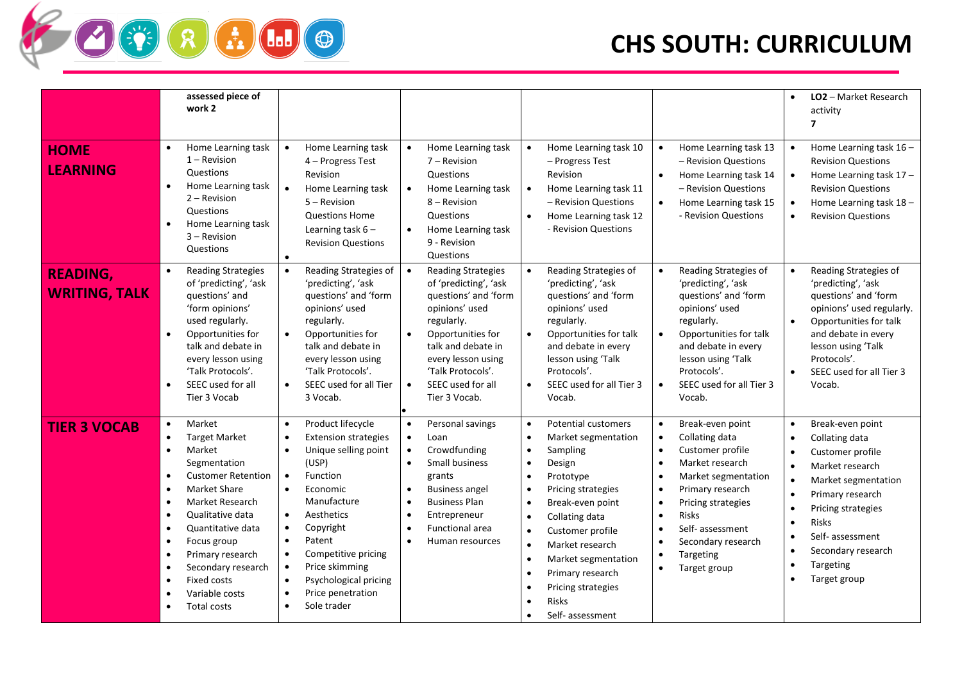# **CHS SOUTH: CURRICULUM**

|                                         | assessed piece of<br>work 2                                                                                                                                                                                                                                                                                                                                                                                                                                                           |                                                                                                                                                                                                                                                                                                                                                                                                                                              |                                                                                                                                                                                                                                                                                            |                                                                                                                                                                                                                                                                                                                                                                                                                                                                                                 |                                                                                                                                                                                                                                                                                                                                                                                        | LO2 - Market Research<br>$\bullet$<br>activity<br>7                                                                                                                                                                                                                 |
|-----------------------------------------|---------------------------------------------------------------------------------------------------------------------------------------------------------------------------------------------------------------------------------------------------------------------------------------------------------------------------------------------------------------------------------------------------------------------------------------------------------------------------------------|----------------------------------------------------------------------------------------------------------------------------------------------------------------------------------------------------------------------------------------------------------------------------------------------------------------------------------------------------------------------------------------------------------------------------------------------|--------------------------------------------------------------------------------------------------------------------------------------------------------------------------------------------------------------------------------------------------------------------------------------------|-------------------------------------------------------------------------------------------------------------------------------------------------------------------------------------------------------------------------------------------------------------------------------------------------------------------------------------------------------------------------------------------------------------------------------------------------------------------------------------------------|----------------------------------------------------------------------------------------------------------------------------------------------------------------------------------------------------------------------------------------------------------------------------------------------------------------------------------------------------------------------------------------|---------------------------------------------------------------------------------------------------------------------------------------------------------------------------------------------------------------------------------------------------------------------|
| <b>HOME</b><br><b>LEARNING</b>          | Home Learning task<br>$\bullet$<br>$1 -$ Revision<br>Questions<br>Home Learning task<br>$\bullet$<br>$2 -$ Revision<br>Questions<br>Home Learning task<br>$\bullet$<br>$3 -$ Revision<br>Questions                                                                                                                                                                                                                                                                                    | Home Learning task<br>$\bullet$<br>4 - Progress Test<br>Revision<br>$\bullet$<br>Home Learning task<br>$5 -$ Revision<br><b>Questions Home</b><br>Learning task $6 -$<br><b>Revision Questions</b>                                                                                                                                                                                                                                           | Home Learning task<br>$\bullet$<br>$7 -$ Revision<br>Questions<br>Home Learning task<br>$\bullet$<br>8 – Revision<br>Questions<br>Home Learning task<br>$\bullet$<br>9 - Revision<br>Questions                                                                                             | Home Learning task 10<br>$\bullet$<br>- Progress Test<br>Revision<br>Home Learning task 11<br>$\bullet$<br>- Revision Questions<br>Home Learning task 12<br>$\bullet$<br>- Revision Questions                                                                                                                                                                                                                                                                                                   | Home Learning task 13<br>- Revision Questions<br>Home Learning task 14<br>$\bullet$<br>- Revision Questions<br>Home Learning task 15<br>$\bullet$<br>- Revision Questions                                                                                                                                                                                                              | Home Learning task 16 -<br>$\bullet$<br><b>Revision Questions</b><br>Home Learning task 17 -<br>$\bullet$<br><b>Revision Questions</b><br>Home Learning task 18 -<br>$\bullet$<br><b>Revision Questions</b>                                                         |
| <b>READING,</b><br><b>WRITING, TALK</b> | <b>Reading Strategies</b><br>$\bullet$<br>of 'predicting', 'ask<br>questions' and<br>'form opinions'<br>used regularly.<br>Opportunities for<br>$\bullet$<br>talk and debate in<br>every lesson using<br>'Talk Protocols'.<br>SEEC used for all<br>$\bullet$<br>Tier 3 Vocab                                                                                                                                                                                                          | Reading Strategies of<br>$\bullet$<br>'predicting', 'ask<br>questions' and 'form<br>opinions' used<br>regularly.<br>Opportunities for<br>$\bullet$<br>talk and debate in<br>every lesson using<br>'Talk Protocols'.<br>SEEC used for all Tier<br>$\bullet$<br>3 Vocab.                                                                                                                                                                       | $\bullet$<br><b>Reading Strategies</b><br>of 'predicting', 'ask<br>questions' and 'form<br>opinions' used<br>regularly.<br>Opportunities for<br>talk and debate in<br>every lesson using<br>'Talk Protocols'.<br>SEEC used for all<br>$\bullet$<br>Tier 3 Vocab.                           | Reading Strategies of<br>'predicting', 'ask<br>questions' and 'form<br>opinions' used<br>regularly.<br>Opportunities for talk<br>and debate in every<br>lesson using 'Talk<br>Protocols'.<br>SEEC used for all Tier 3<br>Vocab.                                                                                                                                                                                                                                                                 | Reading Strategies of<br>$\bullet$<br>'predicting', 'ask<br>questions' and 'form<br>opinions' used<br>regularly.<br>Opportunities for talk<br>and debate in every<br>lesson using 'Talk<br>Protocols'.<br>SEEC used for all Tier 3<br>$\bullet$<br>Vocab.                                                                                                                              | Reading Strategies of<br>$\bullet$<br>'predicting', 'ask<br>questions' and 'form<br>opinions' used regularly.<br>Opportunities for talk<br>$\bullet$<br>and debate in every<br>lesson using 'Talk<br>Protocols'.<br>SEEC used for all Tier 3<br>$\bullet$<br>Vocab. |
| <b>TIER 3 VOCAB</b>                     | Market<br>$\bullet$<br><b>Target Market</b><br>$\bullet$<br>Market<br>$\bullet$<br>Segmentation<br><b>Customer Retention</b><br>$\bullet$<br><b>Market Share</b><br>$\bullet$<br>Market Research<br>$\bullet$<br>Qualitative data<br>$\bullet$<br>Quantitative data<br>$\bullet$<br>Focus group<br>$\bullet$<br>$\bullet$<br>Primary research<br>Secondary research<br>$\bullet$<br><b>Fixed costs</b><br>$\bullet$<br>Variable costs<br>$\bullet$<br><b>Total costs</b><br>$\bullet$ | Product lifecycle<br>$\bullet$<br><b>Extension strategies</b><br>$\bullet$<br>Unique selling point<br>$\bullet$<br>(USP)<br>Function<br>$\bullet$<br>Economic<br>$\bullet$<br>Manufacture<br>Aesthetics<br>$\bullet$<br>Copyright<br>$\bullet$<br>Patent<br>$\bullet$<br>Competitive pricing<br>$\bullet$<br>Price skimming<br>$\bullet$<br>Psychological pricing<br>$\bullet$<br>Price penetration<br>$\bullet$<br>Sole trader<br>$\bullet$ | Personal savings<br>$\bullet$<br>Loan<br>$\bullet$<br>Crowdfunding<br>$\bullet$<br>Small business<br>$\bullet$<br>grants<br><b>Business angel</b><br>$\bullet$<br><b>Business Plan</b><br>$\bullet$<br>Entrepreneur<br>$\bullet$<br><b>Functional area</b><br>$\bullet$<br>Human resources | <b>Potential customers</b><br>$\bullet$<br>Market segmentation<br>$\bullet$<br>Sampling<br>$\bullet$<br>Design<br>$\bullet$<br>Prototype<br>$\bullet$<br>Pricing strategies<br>$\bullet$<br>Break-even point<br>$\bullet$<br>Collating data<br>$\bullet$<br>Customer profile<br>$\bullet$<br>Market research<br>$\bullet$<br>Market segmentation<br>$\bullet$<br>Primary research<br>$\bullet$<br>Pricing strategies<br>$\bullet$<br><b>Risks</b><br>$\bullet$<br>Self- assessment<br>$\bullet$ | Break-even point<br>$\bullet$<br>Collating data<br>$\bullet$<br>Customer profile<br>$\bullet$<br>Market research<br>$\bullet$<br>Market segmentation<br>$\bullet$<br>Primary research<br>$\bullet$<br>Pricing strategies<br>$\bullet$<br>Risks<br>$\bullet$<br>Self- assessment<br>$\bullet$<br>Secondary research<br>$\bullet$<br>Targeting<br>$\bullet$<br>Target group<br>$\bullet$ | Break-even point<br>$\bullet$<br>Collating data<br>Customer profile<br>Market research<br>Market segmentation<br>Primary research<br>Pricing strategies<br><b>Risks</b><br>Self- assessment<br>Secondary research<br>Targeting<br>Target group                      |

**TERED**O